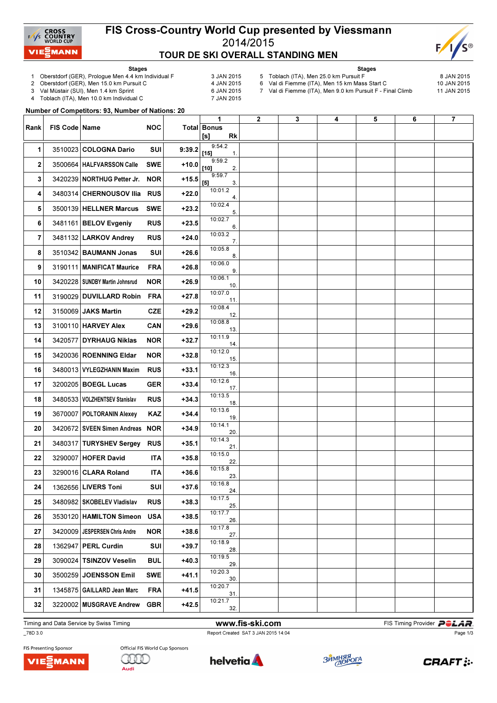

## FIS Cross-Country World Cup presented by Viessmann 2014/2015 TOUR DE SKI OVERALL STANDING MEN



Stages 1 Oberstdorf (GER), Prologue Men 4.4 km Individual F 3 JAN 2015<br>2 Oberstdorf (GER), Men 15.0 km Pursuit C 4 JAN 2015

- 
- Stages 5 Toblach (ITA), Men 25.0 km Pursuit F  $\sim$  8 JAN 2015<br>6 Val di Fiemme (ITA), Men 15 km Mass Start C 10 JAN 2015
	-

- 2 Oberstdorf (GER), Men 15.0 km Pursuit C
	- 3 Val Müstair (SUI), Men 1.4 km Sprint 6 JAN 2015<br>4 Toblach (ITA), Men 10.0 km Individual C 6 7 JAN 2015 Toblach (ITA), Men 10.0 km Individual C
- 
- 6 Val di Fiemme (ITA), Men 15 km Mass Start C 7 Val di Fiemme (ITA), Men 9.0 km Pursuit F - Final Climb 11 JAN 2015

Number of Competitors: 93, Number of Nations: 20

| Rank | FIS Code Name |                                 | <b>NOC</b> |         | 1<br>Total Bonus<br>$[s] % \begin{center} % \includegraphics[width=\linewidth]{imagesSupplemental_3.png} % \end{center} % \caption { % \textit{DefNet} of the \textit{DefNet} dataset. % Note that the \textit{DefNet} and \textit{DefNet} dataset. % Note that the \textit{DefNet} and \textit{DefNet} dataset. % Note that the \textit{DefNet} and \textit{DefNet} dataset. % Note that the \textit{DefNet} and \textit{DefNet} dataset. % Note that the \textit{DefNet} and \textit{DefNet} dataset. % Note that the \textit{DefNet} and \textit{DefNet} dataset. % Note that the \textit{DefNet} and \textit{DefNet} dataset. % Note that the \textit{DefNet} and \textit{DefNet}$<br><b>Rk</b> | $\mathbf{2}$ | 3 | 4 | 5 | 6 | $\overline{\mathbf{r}}$ |
|------|---------------|---------------------------------|------------|---------|-----------------------------------------------------------------------------------------------------------------------------------------------------------------------------------------------------------------------------------------------------------------------------------------------------------------------------------------------------------------------------------------------------------------------------------------------------------------------------------------------------------------------------------------------------------------------------------------------------------------------------------------------------------------------------------------------------|--------------|---|---|---|---|-------------------------|
| 1    |               | 3510023 COLOGNA Dario           | SUI        | 9:39.2  | 9:54.2<br>$[15]$<br>1.                                                                                                                                                                                                                                                                                                                                                                                                                                                                                                                                                                                                                                                                              |              |   |   |   |   |                         |
| 2    |               | 3500664 HALFVARSSON Calle       | <b>SWE</b> | $+10.0$ | 9:59.2<br>[10]<br>2.                                                                                                                                                                                                                                                                                                                                                                                                                                                                                                                                                                                                                                                                                |              |   |   |   |   |                         |
| 3    |               | 3420239 NORTHUG Petter Jr.      | <b>NOR</b> | $+15.5$ | 9:59.7<br>[5]<br>3.                                                                                                                                                                                                                                                                                                                                                                                                                                                                                                                                                                                                                                                                                 |              |   |   |   |   |                         |
| 4    |               | 3480314 CHERNOUSOV Ilia         | <b>RUS</b> | +22.0   | 10:01.2<br>4.                                                                                                                                                                                                                                                                                                                                                                                                                                                                                                                                                                                                                                                                                       |              |   |   |   |   |                         |
| 5    |               | 3500139 HELLNER Marcus          | <b>SWE</b> | $+23.2$ | 10:02.4<br>5.                                                                                                                                                                                                                                                                                                                                                                                                                                                                                                                                                                                                                                                                                       |              |   |   |   |   |                         |
| 6    |               | 3481161 BELOV Evgeniy           | <b>RUS</b> | $+23.5$ | 10:02.7<br>6.                                                                                                                                                                                                                                                                                                                                                                                                                                                                                                                                                                                                                                                                                       |              |   |   |   |   |                         |
| 7    |               | 3481132 LARKOV Andrey           | <b>RUS</b> | $+24.0$ | 10:03.2<br>7.                                                                                                                                                                                                                                                                                                                                                                                                                                                                                                                                                                                                                                                                                       |              |   |   |   |   |                         |
| 8    |               | 3510342 BAUMANN Jonas           | SUI        | $+26.6$ | 10:05.8<br>8.                                                                                                                                                                                                                                                                                                                                                                                                                                                                                                                                                                                                                                                                                       |              |   |   |   |   |                         |
| 9    |               | 3190111 MANIFICAT Maurice       | <b>FRA</b> | $+26.8$ | 10:06.0<br>9.                                                                                                                                                                                                                                                                                                                                                                                                                                                                                                                                                                                                                                                                                       |              |   |   |   |   |                         |
| 10   |               | 3420228 SUNDBY Martin Johnsrud  | <b>NOR</b> | $+26.9$ | 10:06.1<br>10.                                                                                                                                                                                                                                                                                                                                                                                                                                                                                                                                                                                                                                                                                      |              |   |   |   |   |                         |
| 11   |               | 3190029 DUVILLARD Robin         | <b>FRA</b> | $+27.8$ | 10:07.0<br>11.                                                                                                                                                                                                                                                                                                                                                                                                                                                                                                                                                                                                                                                                                      |              |   |   |   |   |                         |
| 12   |               | 3150069 JAKS Martin             | <b>CZE</b> | $+29.2$ | 10:08.4<br>12.                                                                                                                                                                                                                                                                                                                                                                                                                                                                                                                                                                                                                                                                                      |              |   |   |   |   |                         |
| 13   |               | 3100110 HARVEY Alex             | <b>CAN</b> | $+29.6$ | 10:08.8<br>13.                                                                                                                                                                                                                                                                                                                                                                                                                                                                                                                                                                                                                                                                                      |              |   |   |   |   |                         |
| 14   |               | 3420577 DYRHAUG Niklas          | <b>NOR</b> | $+32.7$ | 10:11.9<br>14.<br>10:12.0                                                                                                                                                                                                                                                                                                                                                                                                                                                                                                                                                                                                                                                                           |              |   |   |   |   |                         |
| 15   |               | 3420036 ROENNING Eldar          | <b>NOR</b> | $+32.8$ | 15.                                                                                                                                                                                                                                                                                                                                                                                                                                                                                                                                                                                                                                                                                                 |              |   |   |   |   |                         |
| 16   |               | 3480013 VYLEGZHANIN Maxim       | <b>RUS</b> | $+33.1$ | 10:12.3<br>16.<br>10:12.6                                                                                                                                                                                                                                                                                                                                                                                                                                                                                                                                                                                                                                                                           |              |   |   |   |   |                         |
| 17   |               | 3200205 BOEGL Lucas             | <b>GER</b> | $+33.4$ | 17.<br>10:13.5                                                                                                                                                                                                                                                                                                                                                                                                                                                                                                                                                                                                                                                                                      |              |   |   |   |   |                         |
| 18   |               | 3480533 VOLZHENTSEV Stanislav   | <b>RUS</b> | $+34.3$ | 18.<br>10:13.6                                                                                                                                                                                                                                                                                                                                                                                                                                                                                                                                                                                                                                                                                      |              |   |   |   |   |                         |
| 19   |               | 3670007 POLTORANIN Alexey       | KAZ        | $+34.4$ | 19.<br>10:14.1                                                                                                                                                                                                                                                                                                                                                                                                                                                                                                                                                                                                                                                                                      |              |   |   |   |   |                         |
| 20   |               | 3420672 SVEEN Simen Andreas NOR |            | $+34.9$ | 20.<br>10:14.3                                                                                                                                                                                                                                                                                                                                                                                                                                                                                                                                                                                                                                                                                      |              |   |   |   |   |                         |
| 21   |               | 3480317 TURYSHEV Sergey         | <b>RUS</b> | $+35.1$ | 21.<br>10:15.0                                                                                                                                                                                                                                                                                                                                                                                                                                                                                                                                                                                                                                                                                      |              |   |   |   |   |                         |
| 22   |               | 3290007 HOFER David             | <b>ITA</b> | $+35.8$ | 22.<br>10:15.8                                                                                                                                                                                                                                                                                                                                                                                                                                                                                                                                                                                                                                                                                      |              |   |   |   |   |                         |
| 23   |               | 3290016 CLARA Roland            | ITA        | $+36.6$ | 23.<br>10:16.8                                                                                                                                                                                                                                                                                                                                                                                                                                                                                                                                                                                                                                                                                      |              |   |   |   |   |                         |
| 24   |               | 1362656 LIVERS Toni             | SUI        | $+37.6$ | 24.<br>10:17.5                                                                                                                                                                                                                                                                                                                                                                                                                                                                                                                                                                                                                                                                                      |              |   |   |   |   |                         |
| 25   |               | 3480982 SKOBELEV Vladislav      | <b>RUS</b> | $+38.3$ | 25.<br>10:17.7                                                                                                                                                                                                                                                                                                                                                                                                                                                                                                                                                                                                                                                                                      |              |   |   |   |   |                         |
| 26   |               | 3530120   HAMILTON Simeon       | <b>USA</b> | $+38.5$ | 26.<br>10:17.8                                                                                                                                                                                                                                                                                                                                                                                                                                                                                                                                                                                                                                                                                      |              |   |   |   |   |                         |
| 27   |               | 3420009   JESPERSEN Chris Andre | <b>NOR</b> | $+38.6$ | 27.<br>10:18.9                                                                                                                                                                                                                                                                                                                                                                                                                                                                                                                                                                                                                                                                                      |              |   |   |   |   |                         |
| 28   |               | 1362947 PERL Curdin             | SUI        | $+39.7$ | 28.<br>10:19.5                                                                                                                                                                                                                                                                                                                                                                                                                                                                                                                                                                                                                                                                                      |              |   |   |   |   |                         |
| 29   |               | 3090024 TSINZOV Veselin         | <b>BUL</b> | $+40.3$ | 29.<br>10:20.3                                                                                                                                                                                                                                                                                                                                                                                                                                                                                                                                                                                                                                                                                      |              |   |   |   |   |                         |
| 30   |               | 3500259 JOENSSON Emil           | SWE        | $+41.1$ | 30.<br>10:20.7                                                                                                                                                                                                                                                                                                                                                                                                                                                                                                                                                                                                                                                                                      |              |   |   |   |   |                         |
| 31   |               | 1345875 GAILLARD Jean Marc      | <b>FRA</b> | +41.5   | 31.<br>10:21.7                                                                                                                                                                                                                                                                                                                                                                                                                                                                                                                                                                                                                                                                                      |              |   |   |   |   |                         |
| 32   |               | 3220002 MUSGRAVE Andrew         | <b>GBR</b> | $+42.5$ | 32.                                                                                                                                                                                                                                                                                                                                                                                                                                                                                                                                                                                                                                                                                                 |              |   |   |   |   |                         |

Timing and Data Service by Swiss Timing **Example 20 and Service by Swiss Timing Provider PCLAR** 

## \_78D 3.0 Report Created SAT 3 JAN 2015 14:04

Page 1/3







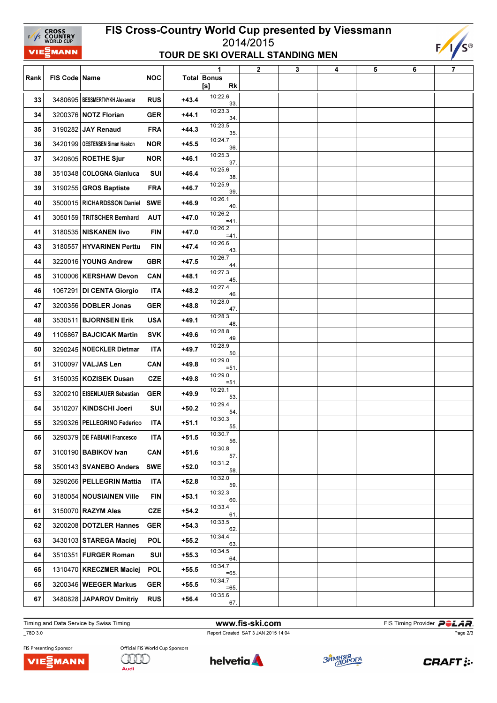| FIS Cross-Country World Cup presented by Viessmann<br><b>CROSS<br/>COUNTRY</b><br>WORLD CUP<br>$\frac{1}{s}$ |                                                                              |                                  |            |         |                          |              |   |   |   |   |  |
|--------------------------------------------------------------------------------------------------------------|------------------------------------------------------------------------------|----------------------------------|------------|---------|--------------------------|--------------|---|---|---|---|--|
|                                                                                                              | $F/1/S^{\circ}$<br>2014/2015<br>VIEZMANN<br>TOUR DE SKI OVERALL STANDING MEN |                                  |            |         |                          |              |   |   |   |   |  |
|                                                                                                              |                                                                              |                                  |            |         | 1                        | $\mathbf{2}$ | 3 | 4 | 5 | 6 |  |
| Rank                                                                                                         | FIS Code   Name                                                              |                                  | <b>NOC</b> |         | Total Bonus<br>[s]<br>Rk |              |   |   |   |   |  |
| 33                                                                                                           |                                                                              | 3480695   BESSMERTNYKH Alexander | <b>RUS</b> | $+43.4$ | 10:22.6<br>33.           |              |   |   |   |   |  |
| 34                                                                                                           |                                                                              | 3200376 NOTZ Florian             | GER        | $+44.1$ | 10:23.3<br>34.           |              |   |   |   |   |  |
| 35                                                                                                           |                                                                              | 3190282 JAY Renaud               | <b>FRA</b> | $+44.3$ | 10:23.5<br>35.           |              |   |   |   |   |  |
| 36                                                                                                           |                                                                              | 3420199   OESTENSEN Simen Haakon | <b>NOR</b> | $+45.5$ | 10:24.7<br>36.           |              |   |   |   |   |  |
| 37                                                                                                           |                                                                              | 3420605 ROETHE Sjur              | <b>NOR</b> | +46.1   | 10:25.3<br>37.           |              |   |   |   |   |  |
| 38                                                                                                           |                                                                              | 3510348 COLOGNA Gianluca         | SUI        | +46.4   | 10:25.6<br>38.           |              |   |   |   |   |  |
| 39                                                                                                           |                                                                              | 3190255 GROS Baptiste            | <b>FRA</b> | +46.7   | 10:25.9<br>39.           |              |   |   |   |   |  |
| 40                                                                                                           |                                                                              | 3500015 RICHARDSSON Daniel       | <b>SWE</b> | $+46.9$ | 10:26.1<br>40.           |              |   |   |   |   |  |
| 41                                                                                                           |                                                                              | 3050159 TRITSCHER Bernhard       | <b>AUT</b> | $+47.0$ | 10:26.2<br>$=41$         |              |   |   |   |   |  |
| 41                                                                                                           |                                                                              | 3180535 NISKANEN livo            | FIN        | $+47.0$ | 10:26.2<br>$=41$ .       |              |   |   |   |   |  |
| 43                                                                                                           |                                                                              | 3180557 HYVARINEN Perttu         | <b>FIN</b> | $+47.4$ | 10:26.6<br>43.           |              |   |   |   |   |  |
| 44                                                                                                           |                                                                              | 3220016 YOUNG Andrew             | GBR        | $+47.5$ | 10:26.7<br>44.           |              |   |   |   |   |  |
| 45                                                                                                           |                                                                              | 3100006   KERSHAW Devon          | <b>CAN</b> | $+48.1$ | 10:27.3<br>45.           |              |   |   |   |   |  |
| 46                                                                                                           |                                                                              | 1067291 DI CENTA Giorgio         | ITA        | +48.2   | 10:27.4<br>46.           |              |   |   |   |   |  |
| 47                                                                                                           |                                                                              | 3200356 DOBLER Jonas             | GER        | $+48.8$ | 10:28.0<br>47.           |              |   |   |   |   |  |
| 48                                                                                                           |                                                                              | 3530511 BJORNSEN Erik            | <b>USA</b> | +49.1   | 10:28.3<br>48.           |              |   |   |   |   |  |
| 49                                                                                                           |                                                                              | 1106867 BAJCICAK Martin          | <b>SVK</b> | $+49.6$ | 10:28.8<br>49.           |              |   |   |   |   |  |
| 50                                                                                                           |                                                                              | 3290245 NOECKLER Dietmar         | ITA        | $+49.7$ | 10:28.9<br>50.           |              |   |   |   |   |  |
| 51                                                                                                           |                                                                              | 3100097 VALJAS Len               | <b>CAN</b> | $+49.8$ | 10:29.0<br>$= 51$        |              |   |   |   |   |  |
| 51                                                                                                           |                                                                              | 3150035   KOZISEK Dusan          | <b>CZE</b> | +49.8   | 10:29.0<br>=51           |              |   |   |   |   |  |
| 53                                                                                                           |                                                                              | 3200210   EISENLAUER Sebastian   | <b>GER</b> | +49.9   | 10:29.1<br>53.           |              |   |   |   |   |  |
| 54                                                                                                           |                                                                              | 3510207 KINDSCHI Joeri           | SUI        | $+50.2$ | 10:29.4<br>54.           |              |   |   |   |   |  |
| 55                                                                                                           |                                                                              | 3290326 PELLEGRINO Federico      | <b>ITA</b> | $+51.1$ | 10:30.3<br>55.           |              |   |   |   |   |  |
| 56                                                                                                           |                                                                              | 3290379 DE FABIANI Francesco     | <b>ITA</b> | $+51.5$ | 10:30.7<br>56.           |              |   |   |   |   |  |
| 57                                                                                                           |                                                                              | 3100190 BABIKOV Ivan             | CAN        | $+51.6$ | 10:30.8<br>57.           |              |   |   |   |   |  |
| 58                                                                                                           |                                                                              | 3500143 SVANEBO Anders           | <b>SWE</b> | $+52.0$ | 10:31.2<br>58.           |              |   |   |   |   |  |
| 59                                                                                                           |                                                                              | 3290266 PELLEGRIN Mattia         | ITA        | $+52.8$ | 10:32.0<br>59.           |              |   |   |   |   |  |
| 60                                                                                                           |                                                                              | 3180054 NOUSIAINEN Ville         | <b>FIN</b> | +53.1   | 10:32.3<br>60.           |              |   |   |   |   |  |
| 61                                                                                                           |                                                                              | 3150070 RAZYM Ales               | <b>CZE</b> | +54.2   | 10:33.4<br>61.           |              |   |   |   |   |  |
| 62                                                                                                           |                                                                              | 3200208 DOTZLER Hannes           | <b>GER</b> | +54.3   | 10:33.5<br>62.           |              |   |   |   |   |  |
| 63                                                                                                           |                                                                              | 3430103 STAREGA Maciej           | <b>POL</b> | $+55.2$ | 10:34.4<br>63.           |              |   |   |   |   |  |
| 64                                                                                                           |                                                                              | 3510351 FURGER Roman             | SUI        | $+55.3$ | 10:34.5<br>64.           |              |   |   |   |   |  |
| 65                                                                                                           |                                                                              | 1310470 KRECZMER Maciej          | <b>POL</b> | +55.5   | 10:34.7<br>$=65$ .       |              |   |   |   |   |  |
| 65                                                                                                           |                                                                              | 3200346   WEEGER Markus          | <b>GER</b> | +55.5   | 10:34.7<br>$=65.$        |              |   |   |   |   |  |
| 67                                                                                                           |                                                                              | 3480828 JAPAROV Dmitriy          | <b>RUS</b> | $+56.4$ | 10:35.6<br>67.           |              |   |   |   |   |  |

Timing and Data Service by Swiss Timing **Example 20** and Data Service by Swiss Timing WWW.fis-ski.com FIS Timing Provider **POLAR** 

\_78D 3.0 Report Created SAT 3 JAN 2015 14:04

Page 2/3